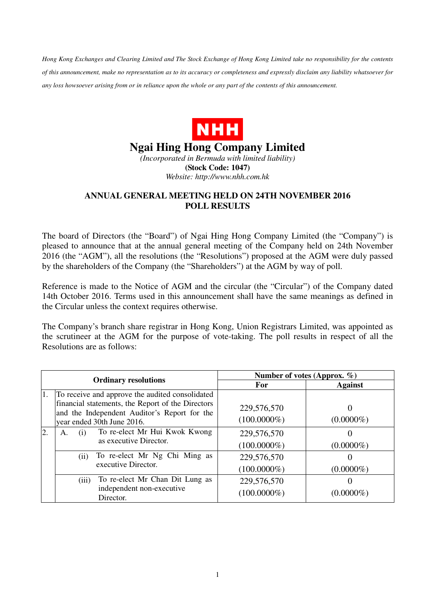*Hong Kong Exchanges and Clearing Limited and The Stock Exchange of Hong Kong Limited take no responsibility for the contents of this announcement, make no representation as to its accuracy or completeness and expressly disclaim any liability whatsoever for any loss howsoever arising from or in reliance upon the whole or any part of the contents of this announcement.* 



## **Ngai Hing Hong Company Limited**

*(Incorporated in Bermuda with limited liability)*  **(Stock Code: 1047)**  *Website: http://www.nhh.com.hk* 

## **ANNUAL GENERAL MEETING HELD ON 24TH NOVEMBER 2016 POLL RESULTS**

The board of Directors (the "Board") of Ngai Hing Hong Company Limited (the "Company") is pleased to announce that at the annual general meeting of the Company held on 24th November 2016 (the "AGM"), all the resolutions (the "Resolutions") proposed at the AGM were duly passed by the shareholders of the Company (the "Shareholders") at the AGM by way of poll.

Reference is made to the Notice of AGM and the circular (the "Circular") of the Company dated 14th October 2016. Terms used in this announcement shall have the same meanings as defined in the Circular unless the context requires otherwise.

The Company's branch share registrar in Hong Kong, Union Registrars Limited, was appointed as the scrutineer at the AGM for the purpose of vote-taking. The poll results in respect of all the Resolutions are as follows:

| <b>Ordinary resolutions</b> |                                                                                                                                                                                    | Number of votes (Approx. $\%$ ) |                |
|-----------------------------|------------------------------------------------------------------------------------------------------------------------------------------------------------------------------------|---------------------------------|----------------|
|                             |                                                                                                                                                                                    | For                             | <b>Against</b> |
| 1.                          | To receive and approve the audited consolidated<br>financial statements, the Report of the Directors<br>and the Independent Auditor's Report for the<br>year ended 30th June 2016. | 229,576,570<br>$(100.0000\%)$   | $(0.0000\%)$   |
| $\overline{2}$ .            | To re-elect Mr Hui Kwok Kwong<br>(i)<br>А.<br>as executive Director.                                                                                                               | 229,576,570<br>$(100.0000\%)$   | $(0.0000\%)$   |
|                             | To re-elect Mr Ng Chi Ming as<br>(i)<br>executive Director.                                                                                                                        | 229,576,570<br>$(100.0000\%)$   | $(0.0000\%)$   |
|                             | To re-elect Mr Chan Dit Lung as<br>(iii)<br>independent non-executive<br>Director.                                                                                                 | 229,576,570<br>$(100.0000\%)$   | $(0.0000\%)$   |